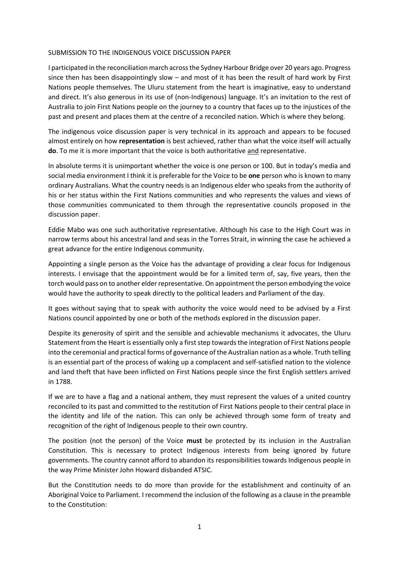## SUBMISSION TO THE INDIGENOUS VOICE DISCUSSION PAPER

I participated in the reconciliation march across the Sydney Harbour Bridge over 20 years ago. Progress since then has been disappointingly slow – and most of it has been the result of hard work by First Nations people themselves. The Uluru statement from the heart is imaginative, easy to understand and direct. It's also generous in its use of (non-Indigenous) language. It's an invitation to the rest of Australia to join First Nations people on the journey to a country that faces up to the injustices of the past and present and places them at the centre of a reconciled nation. Which is where they belong.

The indigenous voice discussion paper is very technical in its approach and appears to be focused almost entirely on how **representation** is best achieved, rather than what the voice itself will actually **do**. To me it is more important that the voice is both authoritative and representative.

In absolute terms it is unimportant whether the voice is one person or 100. But in today's media and social media environment I think it is preferable for the Voice to be **one** person who is known to many ordinary Australians. What the country needs is an Indigenous elder who speaks from the authority of his or her status within the First Nations communities and who represents the values and views of those communities communicated to them through the representative councils proposed in the discussion paper.

Eddie Mabo was one such authoritative representative. Although his case to the High Court was in narrow terms about his ancestral land and seas in the Torres Strait, in winning the case he achieved a great advance for the entire Indigenous community.

Appointing a single person as the Voice has the advantage of providing a clear focus for Indigenous interests. I envisage that the appointment would be for a limited term of, say, five years, then the torch would pass on to another elder representative. On appointment the person embodying the voice would have the authority to speak directly to the political leaders and Parliament of the day.

It goes without saying that to speak with authority the voice would need to be advised by a First Nations council appointed by one or both of the methods explored in the discussion paper.

Despite its generosity of spirit and the sensible and achievable mechanisms it advocates, the Uluru Statement from the Heart is essentially only a first step towards the integration of First Nations people into the ceremonial and practical forms of governance of the Australian nation as a whole. Truth telling is an essential part of the process of waking up a complacent and self-satisfied nation to the violence and land theft that have been inflicted on First Nations people since the first English settlers arrived in 1788.

If we are to have a flag and a national anthem, they must represent the values of a united country reconciled to its past and committed to the restitution of First Nations people to their central place in the identity and life of the nation. This can only be achieved through some form of treaty and recognition of the right of Indigenous people to their own country.

The position (not the person) of the Voice **must** be protected by its inclusion in the Australian Constitution. This is necessary to protect Indigenous interests from being ignored by future governments. The country cannot afford to abandon its responsibilities towards Indigenous people in the way Prime Minister John Howard disbanded ATSIC.

But the Constitution needs to do more than provide for the establishment and continuity of an Aboriginal Voice to Parliament. I recommend the inclusion of the following as a clause in the preamble to the Constitution: